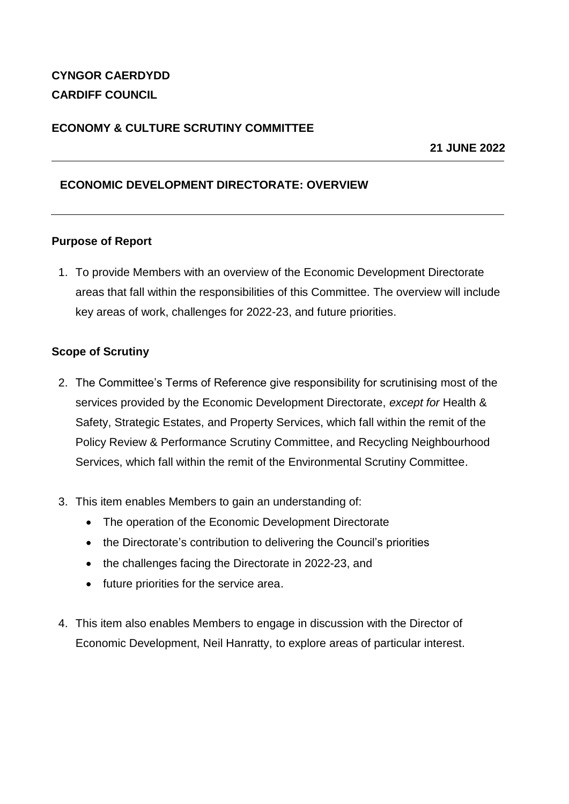# **CYNGOR CAERDYDD CARDIFF COUNCIL**

## **ECONOMY & CULTURE SCRUTINY COMMITTEE**

**21 JUNE 2022**

## **ECONOMIC DEVELOPMENT DIRECTORATE: OVERVIEW**

## **Purpose of Report**

1. To provide Members with an overview of the Economic Development Directorate areas that fall within the responsibilities of this Committee. The overview will include key areas of work, challenges for 2022-23, and future priorities.

## **Scope of Scrutiny**

- 2. The Committee's Terms of Reference give responsibility for scrutinising most of the services provided by the Economic Development Directorate, *except for* Health & Safety, Strategic Estates, and Property Services, which fall within the remit of the Policy Review & Performance Scrutiny Committee, and Recycling Neighbourhood Services, which fall within the remit of the Environmental Scrutiny Committee.
- 3. This item enables Members to gain an understanding of:
	- The operation of the Economic Development Directorate
	- the Directorate's contribution to delivering the Council's priorities
	- the challenges facing the Directorate in 2022-23, and
	- future priorities for the service area.
- 4. This item also enables Members to engage in discussion with the Director of Economic Development, Neil Hanratty, to explore areas of particular interest.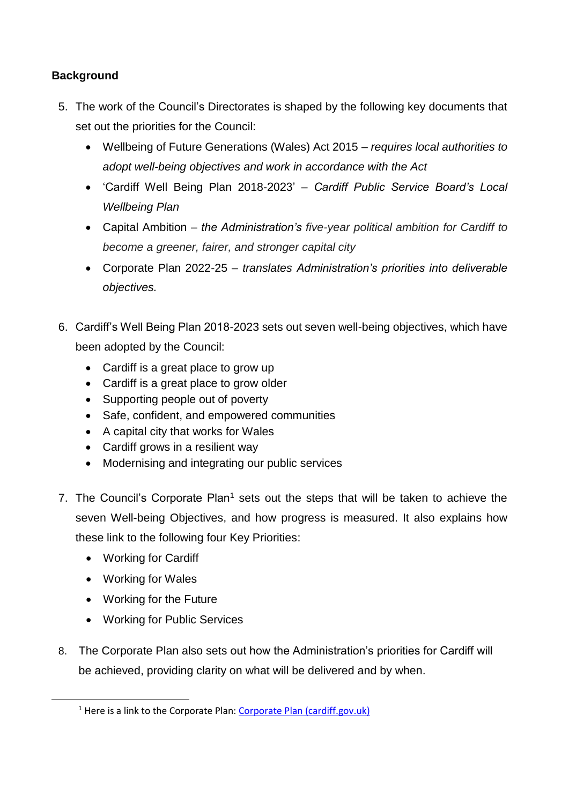## **Background**

- 5. The work of the Council's Directorates is shaped by the following key documents that set out the priorities for the Council:
	- Wellbeing of Future Generations (Wales) Act 2015 *requires local authorities to adopt well-being objectives and work in accordance with the Act*
	- 'Cardiff Well Being Plan 2018-2023' *Cardiff Public Service Board's Local Wellbeing Plan*
	- Capital Ambition *the Administration's five-year political ambition for Cardiff to become a greener, fairer, and stronger capital city*
	- Corporate Plan 2022-25 *translates Administration's priorities into deliverable objectives.*
- 6. Cardiff's Well Being Plan 2018-2023 sets out seven well-being objectives, which have been adopted by the Council:
	- Cardiff is a great place to grow up
	- Cardiff is a great place to grow older
	- Supporting people out of poverty
	- Safe, confident, and empowered communities
	- A capital city that works for Wales
	- Cardiff grows in a resilient way
	- Modernising and integrating our public services
- 7. The Council's Corporate Plan<sup>1</sup> sets out the steps that will be taken to achieve the seven Well-being Objectives, and how progress is measured. It also explains how these link to the following four Key Priorities:
	- Working for Cardiff
	- Working for Wales

1

- Working for the Future
- Working for Public Services
- 8. The Corporate Plan also sets out how the Administration's priorities for Cardiff will be achieved, providing clarity on what will be delivered and by when.

 $1$  Here is a link to the Corporate Plan: [Corporate Plan \(cardiff.gov.uk\)](https://www.cardiff.gov.uk/ENG/Your-Council/Strategies-plans-and-policies/Corporate-Plan/Pages/default.aspx)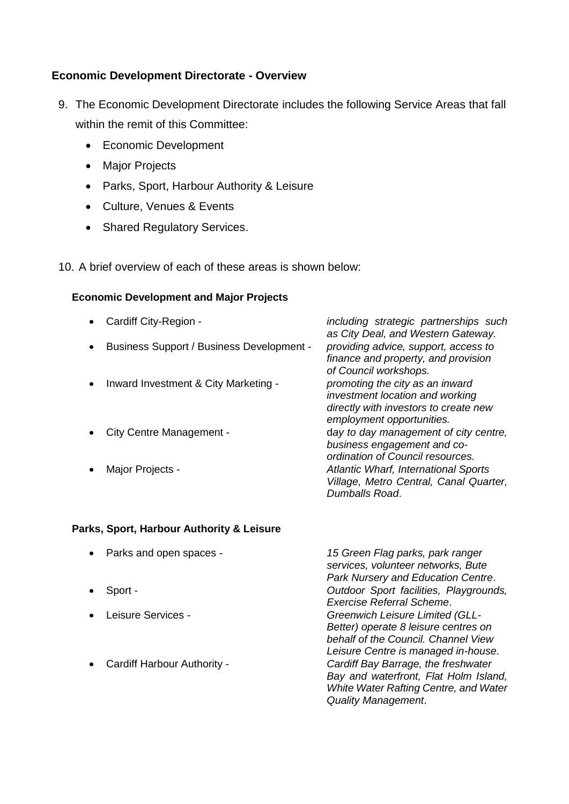## **Economic Development Directorate - Overview**

- 9. The Economic Development Directorate includes the following Service Areas that fall within the remit of this Committee:
	- Economic Development
	- Major Projects
	- Parks, Sport, Harbour Authority & Leisure
	- Culture, Venues & Events
	- Shared Regulatory Services.

10. A brief overview of each of these areas is shown below:

#### **Economic Development and Major Projects**

|           | Cardiff City-Region -                            | including strategic partnerships such<br>as City Deal, and Western Gateway.                                                              |
|-----------|--------------------------------------------------|------------------------------------------------------------------------------------------------------------------------------------------|
|           | <b>Business Support / Business Development -</b> | providing advice, support, access to<br>finance and property, and provision<br>of Council workshops.                                     |
| $\bullet$ | Inward Investment & City Marketing -             | promoting the city as an inward<br>investment location and working<br>directly with investors to create new<br>employment opportunities. |
|           | City Centre Management -                         | day to day management of city centre,<br>business engagement and co-<br>ordination of Council resources.                                 |
|           | Major Projects -                                 | <b>Atlantic Wharf, International Sports</b><br>Village, Metro Central, Canal Quarter,<br>Dumballs Road.                                  |

#### **Parks, Sport, Harbour Authority & Leisure**

- 
- 
- 
- 

 Parks and open spaces - *15 Green Flag parks, park ranger services, volunteer networks, Bute Park Nursery and Education Centre*. Sport - *Outdoor Sport facilities, Playgrounds, Exercise Referral Scheme*. Leisure Services - *Greenwich Leisure Limited (GLL-Better) operate 8 leisure centres on behalf of the Council. Channel View Leisure Centre is managed in-house*. Cardiff Harbour Authority - *Cardiff Bay Barrage, the freshwater Bay and waterfront, Flat Holm Island, White Water Rafting Centre, and Water Quality Management*.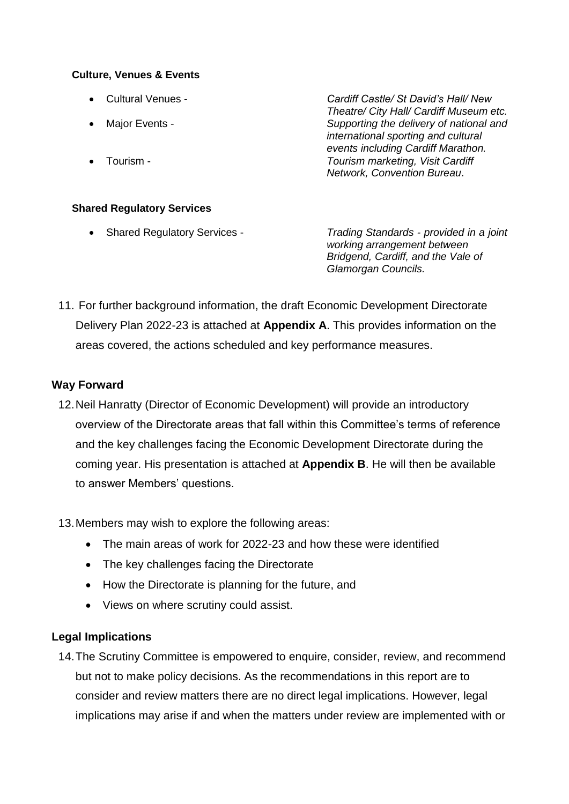#### **Culture, Venues & Events**

 Cultural Venues - *Cardiff Castle/ St David's Hall/ New Theatre/ City Hall/ Cardiff Museum etc.* Major Events - *Supporting the delivery of national and international sporting and cultural events including Cardiff Marathon.* Tourism - *Tourism marketing, Visit Cardiff Network, Convention Bureau*.

## **Shared Regulatory Services**

 Shared Regulatory Services - *Trading Standards - provided in a joint working arrangement between Bridgend, Cardiff, and the Vale of Glamorgan Councils.*

11. For further background information, the draft Economic Development Directorate Delivery Plan 2022-23 is attached at **Appendix A**. This provides information on the areas covered, the actions scheduled and key performance measures.

## **Way Forward**

- 12.Neil Hanratty (Director of Economic Development) will provide an introductory overview of the Directorate areas that fall within this Committee's terms of reference and the key challenges facing the Economic Development Directorate during the coming year. His presentation is attached at **Appendix B**. He will then be available to answer Members' questions.
- 13.Members may wish to explore the following areas:
	- The main areas of work for 2022-23 and how these were identified
	- The key challenges facing the Directorate
	- How the Directorate is planning for the future, and
	- Views on where scrutiny could assist.

## **Legal Implications**

14.The Scrutiny Committee is empowered to enquire, consider, review, and recommend but not to make policy decisions. As the recommendations in this report are to consider and review matters there are no direct legal implications. However, legal implications may arise if and when the matters under review are implemented with or